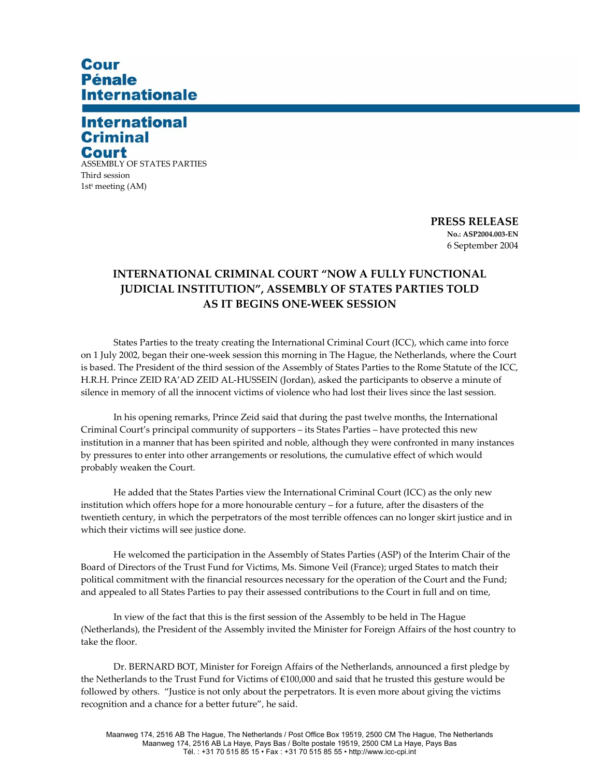# Cour **Pénale Internationale**

## **International Criminal** Court

ASSEMBLY OF STATES PARTIES Third session 1stt meeting (AM)

> **PRESS RELEASE No.: ASP2004.003-EN**  6 September 2004

### **INTERNATIONAL CRIMINAL COURT "NOW A FULLY FUNCTIONAL JUDICIAL INSTITUTION", ASSEMBLY OF STATES PARTIES TOLD AS IT BEGINS ONE-WEEK SESSION**

States Parties to the treaty creating the International Criminal Court (ICC), which came into force on 1 July 2002, began their one-week session this morning in The Hague, the Netherlands, where the Court is based. The President of the third session of the Assembly of States Parties to the Rome Statute of the ICC, H.R.H. Prince ZEID RA'AD ZEID AL-HUSSEIN (Jordan), asked the participants to observe a minute of silence in memory of all the innocent victims of violence who had lost their lives since the last session.

In his opening remarks, Prince Zeid said that during the past twelve months, the International Criminal Court's principal community of supporters – its States Parties – have protected this new institution in a manner that has been spirited and noble, although they were confronted in many instances by pressures to enter into other arrangements or resolutions, the cumulative effect of which would probably weaken the Court.

He added that the States Parties view the International Criminal Court (ICC) as the only new institution which offers hope for a more honourable century – for a future, after the disasters of the twentieth century, in which the perpetrators of the most terrible offences can no longer skirt justice and in which their victims will see justice done.

He welcomed the participation in the Assembly of States Parties (ASP) of the Interim Chair of the Board of Directors of the Trust Fund for Victims, Ms. Simone Veil (France); urged States to match their political commitment with the financial resources necessary for the operation of the Court and the Fund; and appealed to all States Parties to pay their assessed contributions to the Court in full and on time,

In view of the fact that this is the first session of the Assembly to be held in The Hague (Netherlands), the President of the Assembly invited the Minister for Foreign Affairs of the host country to take the floor.

Dr. BERNARD BOT, Minister for Foreign Affairs of the Netherlands, announced a first pledge by the Netherlands to the Trust Fund for Victims of €100,000 and said that he trusted this gesture would be followed by others. "Justice is not only about the perpetrators. It is even more about giving the victims recognition and a chance for a better future", he said.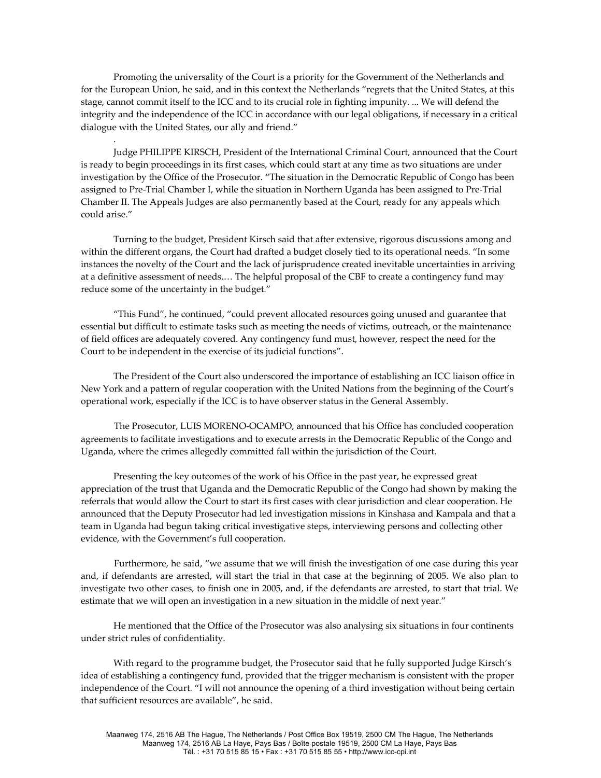Promoting the universality of the Court is a priority for the Government of the Netherlands and for the European Union, he said, and in this context the Netherlands "regrets that the United States, at this stage, cannot commit itself to the ICC and to its crucial role in fighting impunity. ... We will defend the integrity and the independence of the ICC in accordance with our legal obligations, if necessary in a critical dialogue with the United States, our ally and friend."

.

Judge PHILIPPE KIRSCH, President of the International Criminal Court, announced that the Court is ready to begin proceedings in its first cases, which could start at any time as two situations are under investigation by the Office of the Prosecutor. "The situation in the Democratic Republic of Congo has been assigned to Pre-Trial Chamber I, while the situation in Northern Uganda has been assigned to Pre-Trial Chamber II. The Appeals Judges are also permanently based at the Court, ready for any appeals which could arise."

Turning to the budget, President Kirsch said that after extensive, rigorous discussions among and within the different organs, the Court had drafted a budget closely tied to its operational needs. "In some instances the novelty of the Court and the lack of jurisprudence created inevitable uncertainties in arriving at a definitive assessment of needs.… The helpful proposal of the CBF to create a contingency fund may reduce some of the uncertainty in the budget."

"This Fund", he continued, "could prevent allocated resources going unused and guarantee that essential but difficult to estimate tasks such as meeting the needs of victims, outreach, or the maintenance of field offices are adequately covered. Any contingency fund must, however, respect the need for the Court to be independent in the exercise of its judicial functions".

The President of the Court also underscored the importance of establishing an ICC liaison office in New York and a pattern of regular cooperation with the United Nations from the beginning of the Court's operational work, especially if the ICC is to have observer status in the General Assembly.

 The Prosecutor, LUIS MORENO-OCAMPO, announced that his Office has concluded cooperation agreements to facilitate investigations and to execute arrests in the Democratic Republic of the Congo and Uganda, where the crimes allegedly committed fall within the jurisdiction of the Court.

Presenting the key outcomes of the work of his Office in the past year, he expressed great appreciation of the trust that Uganda and the Democratic Republic of the Congo had shown by making the referrals that would allow the Court to start its first cases with clear jurisdiction and clear cooperation. He announced that the Deputy Prosecutor had led investigation missions in Kinshasa and Kampala and that a team in Uganda had begun taking critical investigative steps, interviewing persons and collecting other evidence, with the Government's full cooperation.

Furthermore, he said, "we assume that we will finish the investigation of one case during this year and, if defendants are arrested, will start the trial in that case at the beginning of 2005. We also plan to investigate two other cases, to finish one in 2005, and, if the defendants are arrested, to start that trial. We estimate that we will open an investigation in a new situation in the middle of next year."

He mentioned that the Office of the Prosecutor was also analysing six situations in four continents under strict rules of confidentiality.

With regard to the programme budget, the Prosecutor said that he fully supported Judge Kirsch's idea of establishing a contingency fund, provided that the trigger mechanism is consistent with the proper independence of the Court. "I will not announce the opening of a third investigation without being certain that sufficient resources are available", he said.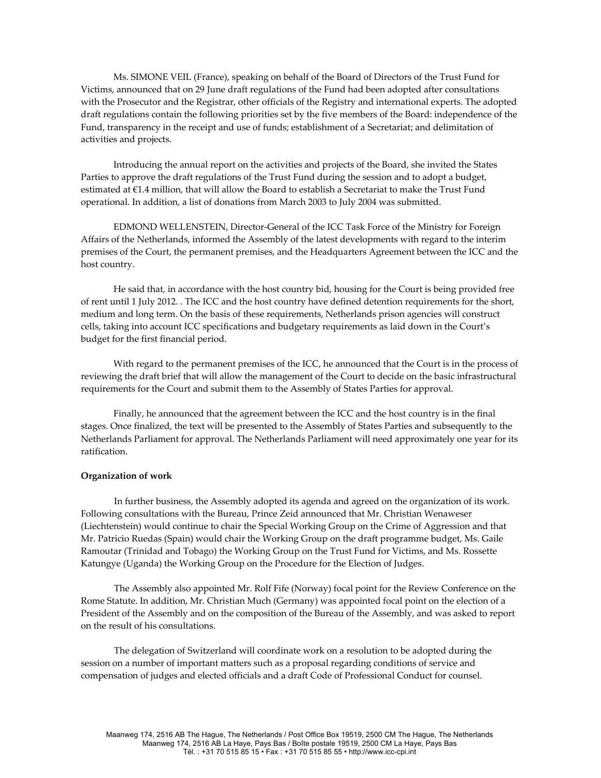Ms. SIMONE VEIL (France), speaking on behalf of the Board of Directors of the Trust Fund for Victims, announced that on 29 June draft regulations of the Fund had been adopted after consultations with the Prosecutor and the Registrar, other officials of the Registry and international experts. The adopted draft regulations contain the following priorities set by the five members of the Board: independence of the Fund, transparency in the receipt and use of funds; establishment of a Secretariat; and delimitation of activities and projects.

Introducing the annual report on the activities and projects of the Board, she invited the States Parties to approve the draft regulations of the Trust Fund during the session and to adopt a budget, estimated at €1.4 million, that will allow the Board to establish a Secretariat to make the Trust Fund operational. In addition, a list of donations from March 2003 to July 2004 was submitted.

EDMOND WELLENSTEIN, Director-General of the ICC Task Force of the Ministry for Foreign Affairs of the Netherlands, informed the Assembly of the latest developments with regard to the interim premises of the Court, the permanent premises, and the Headquarters Agreement between the ICC and the host country.

He said that, in accordance with the host country bid, housing for the Court is being provided free of rent until 1 July 2012. . The ICC and the host country have defined detention requirements for the short, medium and long term. On the basis of these requirements, Netherlands prison agencies will construct cells, taking into account ICC specifications and budgetary requirements as laid down in the Court's budget for the first financial period.

With regard to the permanent premises of the ICC, he announced that the Court is in the process of reviewing the draft brief that will allow the management of the Court to decide on the basic infrastructural requirements for the Court and submit them to the Assembly of States Parties for approval.

Finally, he announced that the agreement between the ICC and the host country is in the final stages. Once finalized, the text will be presented to the Assembly of States Parties and subsequently to the Netherlands Parliament for approval. The Netherlands Parliament will need approximately one year for its ratification.

#### **Organization of work**

 In further business, the Assembly adopted its agenda and agreed on the organization of its work. Following consultations with the Bureau, Prince Zeid announced that Mr. Christian Wenaweser (Liechtenstein) would continue to chair the Special Working Group on the Crime of Aggression and that Mr. Patricio Ruedas (Spain) would chair the Working Group on the draft programme budget, Ms. Gaile Ramoutar (Trinidad and Tobago) the Working Group on the Trust Fund for Victims, and Ms. Rossette Katungye (Uganda) the Working Group on the Procedure for the Election of Judges.

 The Assembly also appointed Mr. Rolf Fife (Norway) focal point for the Review Conference on the Rome Statute. In addition, Mr. Christian Much (Germany) was appointed focal point on the election of a President of the Assembly and on the composition of the Bureau of the Assembly, and was asked to report on the result of his consultations.

 The delegation of Switzerland will coordinate work on a resolution to be adopted during the session on a number of important matters such as a proposal regarding conditions of service and compensation of judges and elected officials and a draft Code of Professional Conduct for counsel.